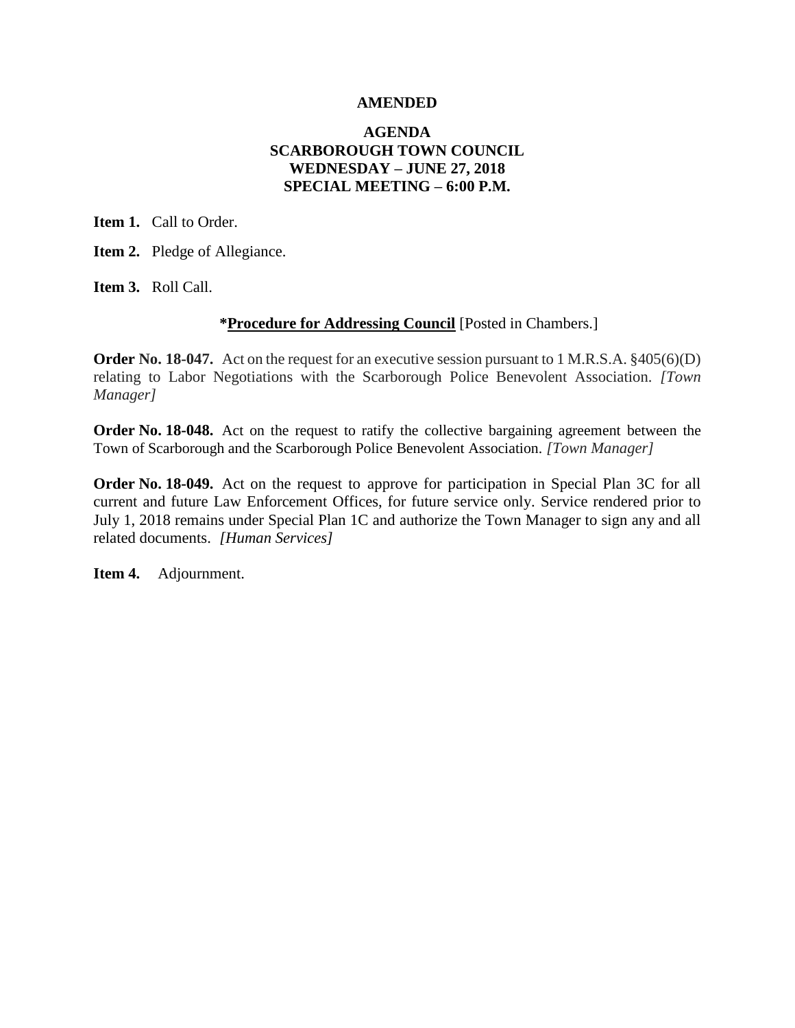#### **AMENDED**

#### **AGENDA SCARBOROUGH TOWN COUNCIL WEDNESDAY – JUNE 27, 2018 SPECIAL MEETING – 6:00 P.M.**

**Item 1.** Call to Order.

**Item 2.** Pledge of Allegiance.

**Item 3.** Roll Call.

#### **\*Procedure for Addressing Council** [Posted in Chambers.]

**Order No. 18-047.** Act on the request for an executive session pursuant to 1 M.R.S.A. §405(6)(D) relating to Labor Negotiations with the Scarborough Police Benevolent Association. *[Town Manager]*

**Order No. 18-048.** Act on the request to ratify the collective bargaining agreement between the Town of Scarborough and the Scarborough Police Benevolent Association. *[Town Manager]*

**Order No. 18-049.** Act on the request to approve for participation in Special Plan 3C for all current and future Law Enforcement Offices, for future service only. Service rendered prior to July 1, 2018 remains under Special Plan 1C and authorize the Town Manager to sign any and all related documents. *[Human Services]*

**Item 4.** Adjournment.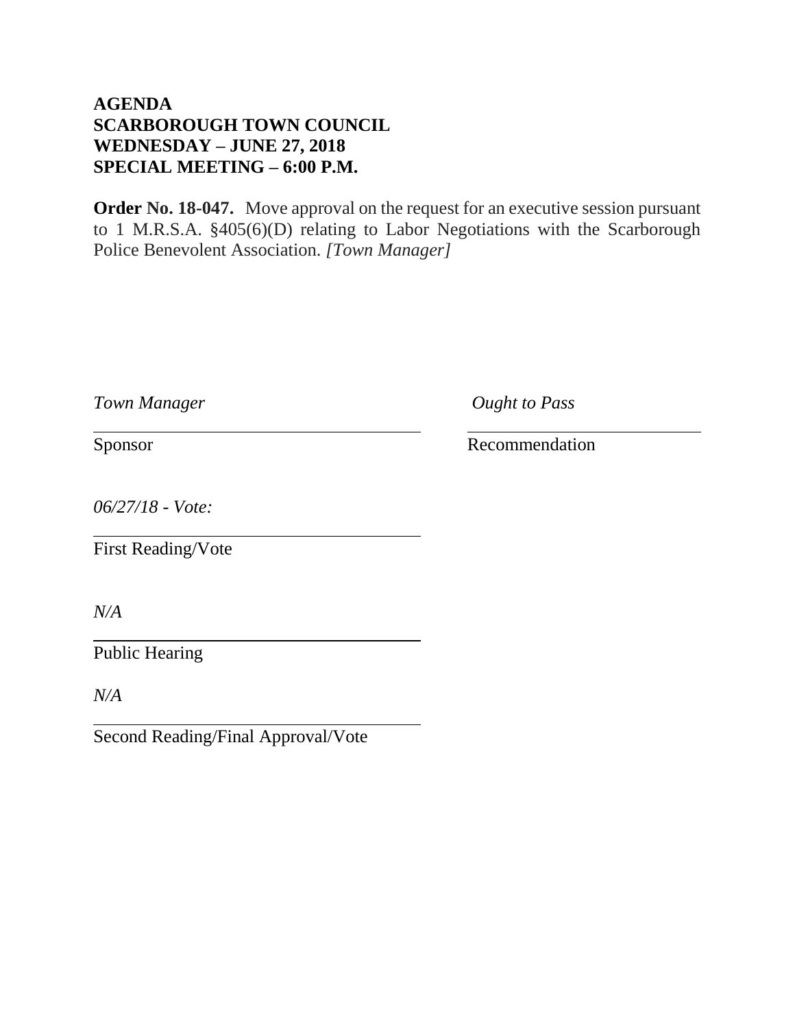# **AGENDA SCARBOROUGH TOWN COUNCIL WEDNESDAY – JUNE 27, 2018 SPECIAL MEETING – 6:00 P.M.**

**Order No. 18-047.** Move approval on the request for an executive session pursuant to 1 M.R.S.A. §405(6)(D) relating to Labor Negotiations with the Scarborough Police Benevolent Association. *[Town Manager]*

*Town Manager Ought to Pass*

Sponsor Recommendation

*06/27/18 - Vote:*

First Reading/Vote

*N/A*

Public Hearing

*N/A*

Second Reading/Final Approval/Vote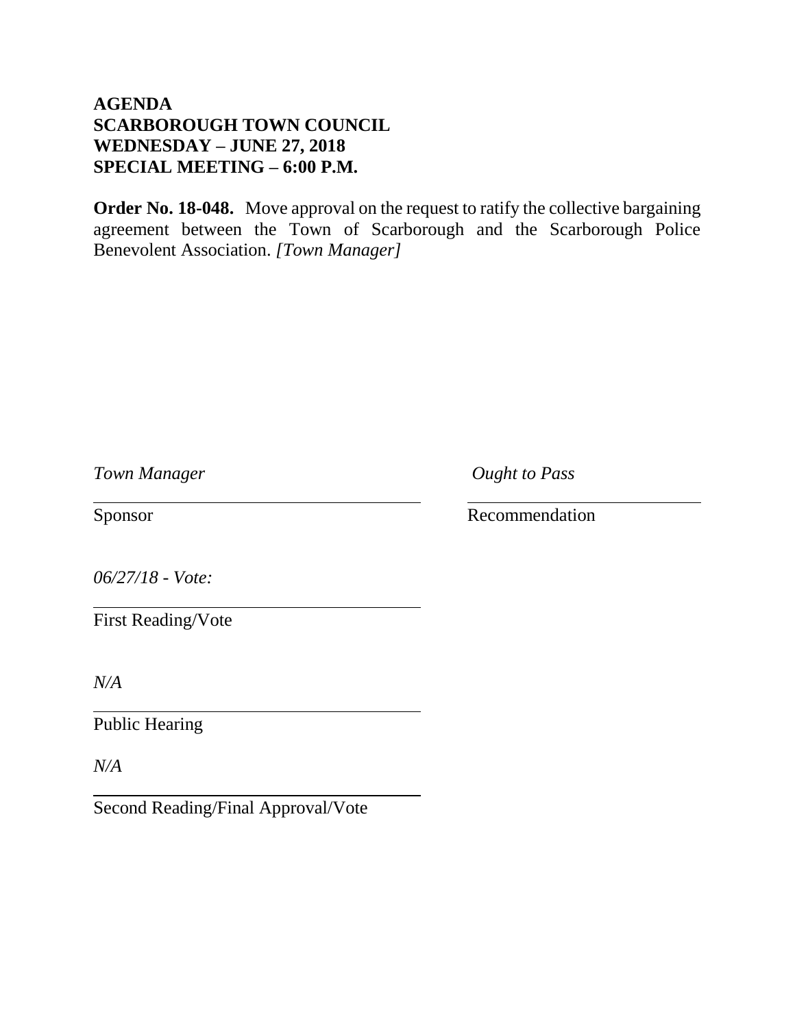# **AGENDA SCARBOROUGH TOWN COUNCIL WEDNESDAY – JUNE 27, 2018 SPECIAL MEETING – 6:00 P.M.**

**Order No. 18-048.** Move approval on the request to ratify the collective bargaining agreement between the Town of Scarborough and the Scarborough Police Benevolent Association. *[Town Manager]*

*Town Manager Ought to Pass*

Sponsor Recommendation

*06/27/18 - Vote:*

First Reading/Vote

*N/A*

Public Hearing

*N/A*

Second Reading/Final Approval/Vote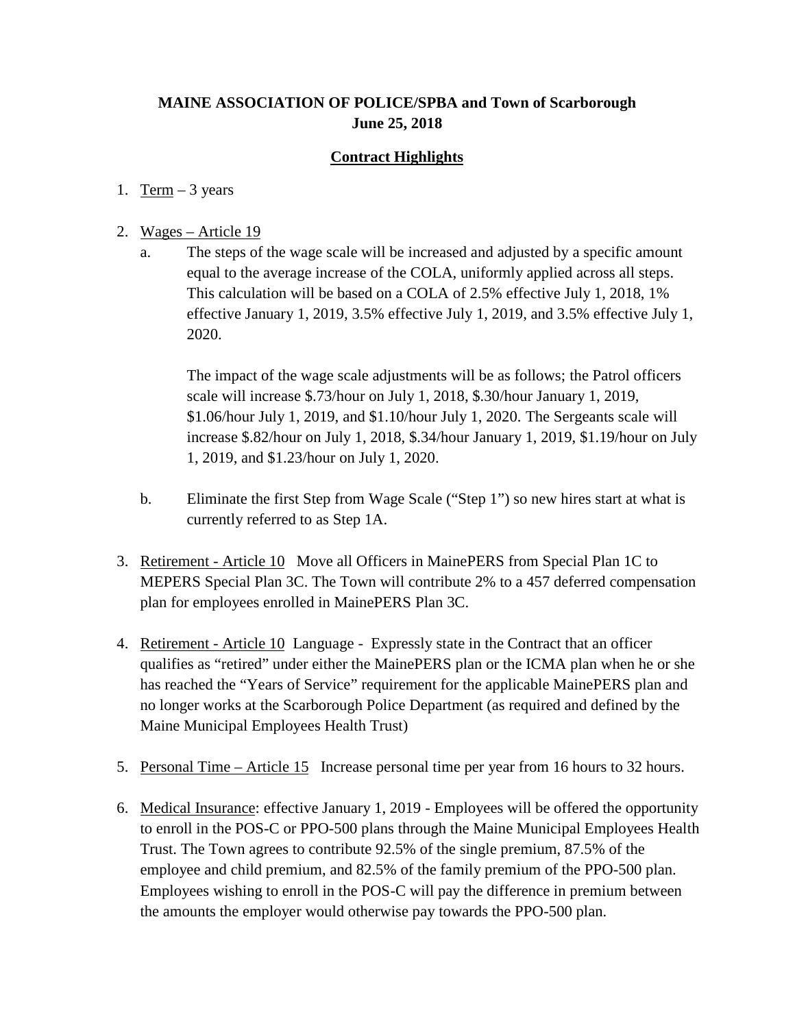## **MAINE ASSOCIATION OF POLICE/SPBA and Town of Scarborough June 25, 2018**

### **Contract Highlights**

#### 1. Term  $-3$  years

#### 2. Wages – Article 19

a. The steps of the wage scale will be increased and adjusted by a specific amount equal to the average increase of the COLA, uniformly applied across all steps. This calculation will be based on a COLA of 2.5% effective July 1, 2018, 1% effective January 1, 2019, 3.5% effective July 1, 2019, and 3.5% effective July 1, 2020.

The impact of the wage scale adjustments will be as follows; the Patrol officers scale will increase \$.73/hour on July 1, 2018, \$.30/hour January 1, 2019, \$1.06/hour July 1, 2019, and \$1.10/hour July 1, 2020. The Sergeants scale will increase \$.82/hour on July 1, 2018, \$.34/hour January 1, 2019, \$1.19/hour on July 1, 2019, and \$1.23/hour on July 1, 2020.

- b. Eliminate the first Step from Wage Scale ("Step 1") so new hires start at what is currently referred to as Step 1A.
- 3. Retirement Article 10 Move all Officers in MainePERS from Special Plan 1C to MEPERS Special Plan 3C. The Town will contribute 2% to a 457 deferred compensation plan for employees enrolled in MainePERS Plan 3C.
- 4. Retirement Article 10 Language Expressly state in the Contract that an officer qualifies as "retired" under either the MainePERS plan or the ICMA plan when he or she has reached the "Years of Service" requirement for the applicable MainePERS plan and no longer works at the Scarborough Police Department (as required and defined by the Maine Municipal Employees Health Trust)
- 5. Personal Time Article 15 Increase personal time per year from 16 hours to 32 hours.
- 6. Medical Insurance: effective January 1, 2019 Employees will be offered the opportunity to enroll in the POS-C or PPO-500 plans through the Maine Municipal Employees Health Trust. The Town agrees to contribute 92.5% of the single premium, 87.5% of the employee and child premium, and 82.5% of the family premium of the PPO-500 plan. Employees wishing to enroll in the POS-C will pay the difference in premium between the amounts the employer would otherwise pay towards the PPO-500 plan.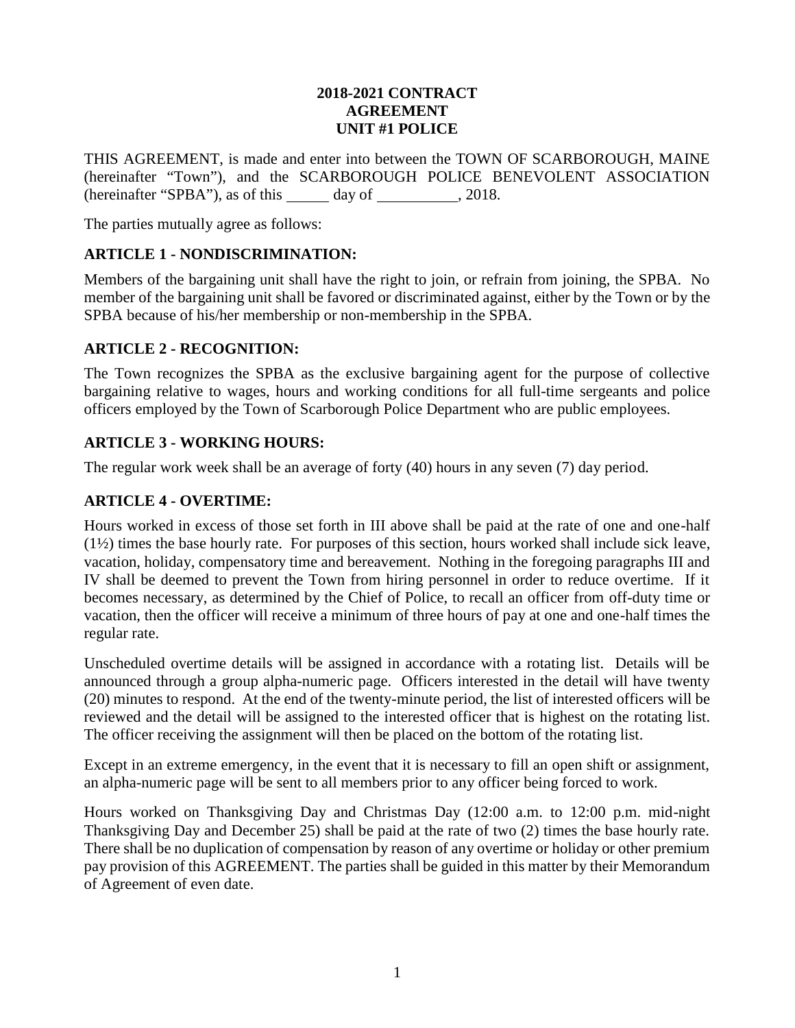#### **2018-2021 CONTRACT AGREEMENT UNIT #1 POLICE**

THIS AGREEMENT, is made and enter into between the TOWN OF SCARBOROUGH, MAINE (hereinafter "Town"), and the SCARBOROUGH POLICE BENEVOLENT ASSOCIATION (hereinafter "SPBA"), as of this  $\qquad \qquad$  day of  $\qquad \qquad . 2018.$ 

The parties mutually agree as follows:

## **ARTICLE 1 - NONDISCRIMINATION:**

Members of the bargaining unit shall have the right to join, or refrain from joining, the SPBA. No member of the bargaining unit shall be favored or discriminated against, either by the Town or by the SPBA because of his/her membership or non-membership in the SPBA.

#### **ARTICLE 2 - RECOGNITION:**

The Town recognizes the SPBA as the exclusive bargaining agent for the purpose of collective bargaining relative to wages, hours and working conditions for all full-time sergeants and police officers employed by the Town of Scarborough Police Department who are public employees.

### **ARTICLE 3 - WORKING HOURS:**

The regular work week shall be an average of forty (40) hours in any seven (7) day period.

### **ARTICLE 4 - OVERTIME:**

Hours worked in excess of those set forth in III above shall be paid at the rate of one and one-half (1½) times the base hourly rate. For purposes of this section, hours worked shall include sick leave, vacation, holiday, compensatory time and bereavement. Nothing in the foregoing paragraphs III and IV shall be deemed to prevent the Town from hiring personnel in order to reduce overtime. If it becomes necessary, as determined by the Chief of Police, to recall an officer from off-duty time or vacation, then the officer will receive a minimum of three hours of pay at one and one-half times the regular rate.

Unscheduled overtime details will be assigned in accordance with a rotating list. Details will be announced through a group alpha-numeric page. Officers interested in the detail will have twenty (20) minutes to respond. At the end of the twenty-minute period, the list of interested officers will be reviewed and the detail will be assigned to the interested officer that is highest on the rotating list. The officer receiving the assignment will then be placed on the bottom of the rotating list.

Except in an extreme emergency, in the event that it is necessary to fill an open shift or assignment, an alpha-numeric page will be sent to all members prior to any officer being forced to work.

Hours worked on Thanksgiving Day and Christmas Day (12:00 a.m. to 12:00 p.m. mid-night Thanksgiving Day and December 25) shall be paid at the rate of two (2) times the base hourly rate. There shall be no duplication of compensation by reason of any overtime or holiday or other premium pay provision of this AGREEMENT. The parties shall be guided in this matter by their Memorandum of Agreement of even date.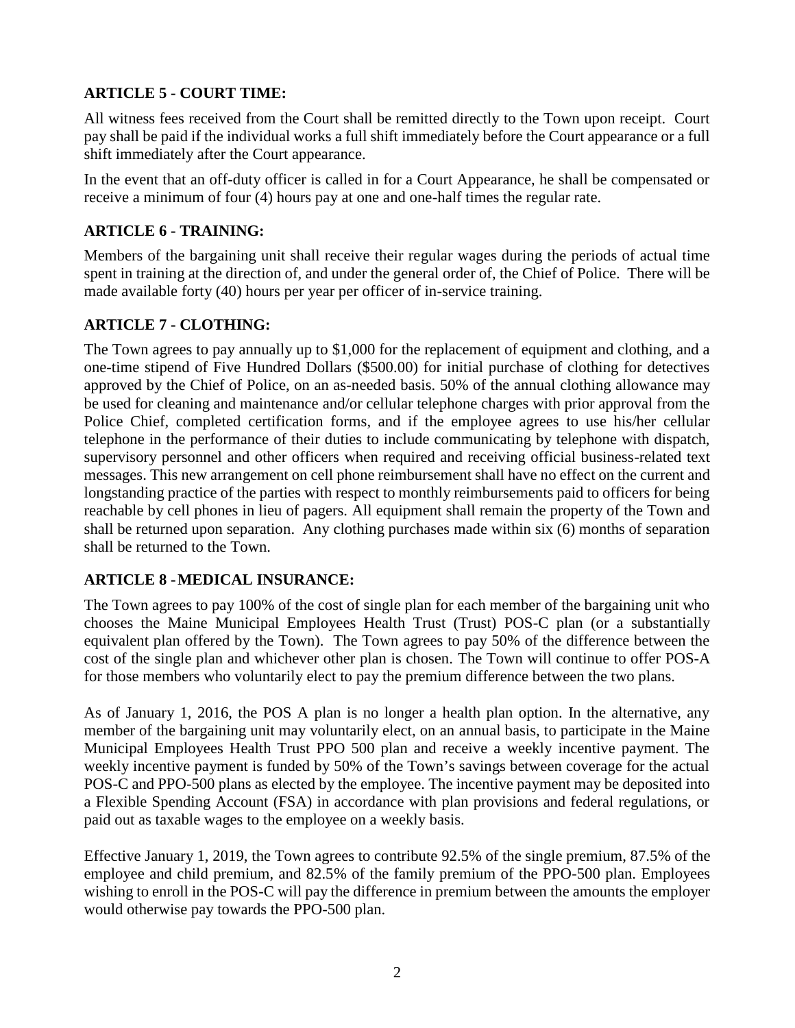## **ARTICLE 5 - COURT TIME:**

All witness fees received from the Court shall be remitted directly to the Town upon receipt. Court pay shall be paid if the individual works a full shift immediately before the Court appearance or a full shift immediately after the Court appearance.

In the event that an off-duty officer is called in for a Court Appearance, he shall be compensated or receive a minimum of four (4) hours pay at one and one-half times the regular rate.

## **ARTICLE 6 - TRAINING:**

Members of the bargaining unit shall receive their regular wages during the periods of actual time spent in training at the direction of, and under the general order of, the Chief of Police. There will be made available forty (40) hours per year per officer of in-service training.

## **ARTICLE 7 - CLOTHING:**

The Town agrees to pay annually up to \$1,000 for the replacement of equipment and clothing, and a one-time stipend of Five Hundred Dollars (\$500.00) for initial purchase of clothing for detectives approved by the Chief of Police, on an as-needed basis. 50% of the annual clothing allowance may be used for cleaning and maintenance and/or cellular telephone charges with prior approval from the Police Chief, completed certification forms, and if the employee agrees to use his/her cellular telephone in the performance of their duties to include communicating by telephone with dispatch, supervisory personnel and other officers when required and receiving official business-related text messages. This new arrangement on cell phone reimbursement shall have no effect on the current and longstanding practice of the parties with respect to monthly reimbursements paid to officers for being reachable by cell phones in lieu of pagers. All equipment shall remain the property of the Town and shall be returned upon separation. Any clothing purchases made within six (6) months of separation shall be returned to the Town.

## **ARTICLE 8 -MEDICAL INSURANCE:**

The Town agrees to pay 100% of the cost of single plan for each member of the bargaining unit who chooses the Maine Municipal Employees Health Trust (Trust) POS-C plan (or a substantially equivalent plan offered by the Town). The Town agrees to pay 50% of the difference between the cost of the single plan and whichever other plan is chosen. The Town will continue to offer POS-A for those members who voluntarily elect to pay the premium difference between the two plans.

As of January 1, 2016, the POS A plan is no longer a health plan option. In the alternative, any member of the bargaining unit may voluntarily elect, on an annual basis, to participate in the Maine Municipal Employees Health Trust PPO 500 plan and receive a weekly incentive payment. The weekly incentive payment is funded by 50% of the Town's savings between coverage for the actual POS-C and PPO-500 plans as elected by the employee. The incentive payment may be deposited into a Flexible Spending Account (FSA) in accordance with plan provisions and federal regulations, or paid out as taxable wages to the employee on a weekly basis.

Effective January 1, 2019, the Town agrees to contribute 92.5% of the single premium, 87.5% of the employee and child premium, and 82.5% of the family premium of the PPO-500 plan. Employees wishing to enroll in the POS-C will pay the difference in premium between the amounts the employer would otherwise pay towards the PPO-500 plan.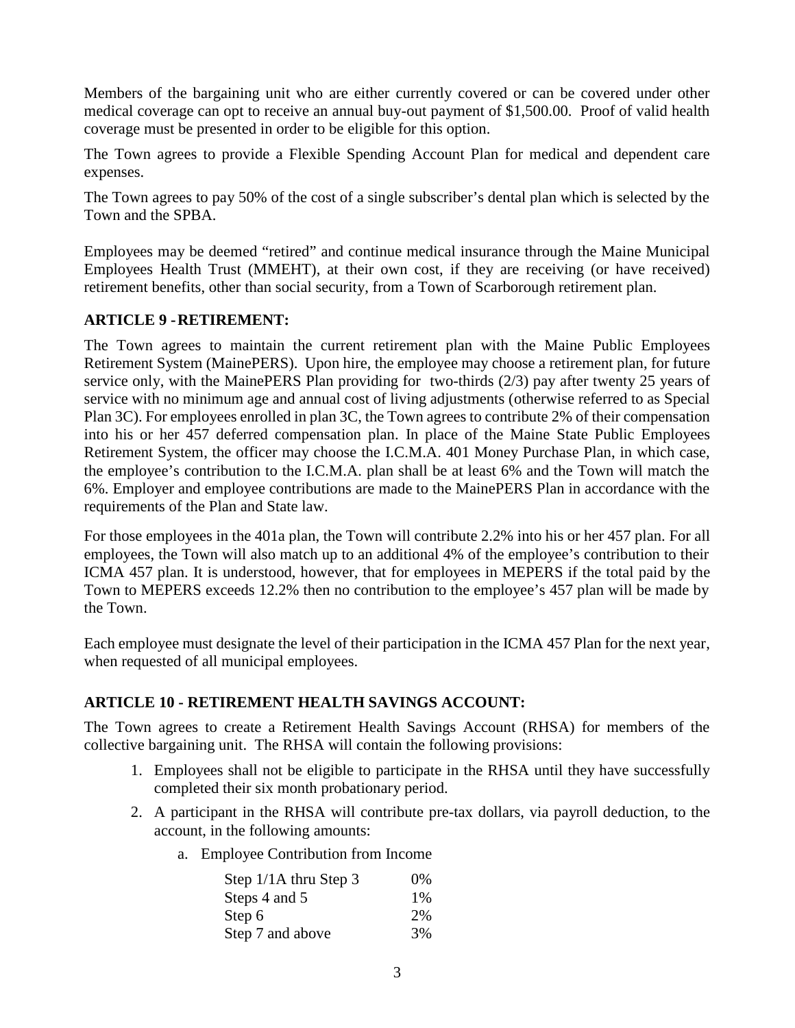Members of the bargaining unit who are either currently covered or can be covered under other medical coverage can opt to receive an annual buy-out payment of \$1,500.00. Proof of valid health coverage must be presented in order to be eligible for this option.

The Town agrees to provide a Flexible Spending Account Plan for medical and dependent care expenses.

The Town agrees to pay 50% of the cost of a single subscriber's dental plan which is selected by the Town and the SPBA.

Employees may be deemed "retired" and continue medical insurance through the Maine Municipal Employees Health Trust (MMEHT), at their own cost, if they are receiving (or have received) retirement benefits, other than social security, from a Town of Scarborough retirement plan.

#### **ARTICLE 9 -RETIREMENT:**

The Town agrees to maintain the current retirement plan with the Maine Public Employees Retirement System (MainePERS). Upon hire, the employee may choose a retirement plan, for future service only, with the MainePERS Plan providing for two-thirds (2/3) pay after twenty 25 years of service with no minimum age and annual cost of living adjustments (otherwise referred to as Special Plan 3C). For employees enrolled in plan 3C, the Town agrees to contribute 2% of their compensation into his or her 457 deferred compensation plan. In place of the Maine State Public Employees Retirement System, the officer may choose the I.C.M.A. 401 Money Purchase Plan, in which case, the employee's contribution to the I.C.M.A. plan shall be at least 6% and the Town will match the 6%. Employer and employee contributions are made to the MainePERS Plan in accordance with the requirements of the Plan and State law.

For those employees in the 401a plan, the Town will contribute 2.2% into his or her 457 plan. For all employees, the Town will also match up to an additional 4% of the employee's contribution to their ICMA 457 plan. It is understood, however, that for employees in MEPERS if the total paid by the Town to MEPERS exceeds 12.2% then no contribution to the employee's 457 plan will be made by the Town.

Each employee must designate the level of their participation in the ICMA 457 Plan for the next year, when requested of all municipal employees.

## **ARTICLE 10 - RETIREMENT HEALTH SAVINGS ACCOUNT:**

The Town agrees to create a Retirement Health Savings Account (RHSA) for members of the collective bargaining unit. The RHSA will contain the following provisions:

- 1. Employees shall not be eligible to participate in the RHSA until they have successfully completed their six month probationary period.
- 2. A participant in the RHSA will contribute pre-tax dollars, via payroll deduction, to the account, in the following amounts:
	- a. Employee Contribution from Income

| Step 1/1A thru Step 3 | $0\%$ |
|-----------------------|-------|
| Steps 4 and 5         | $1\%$ |
| Step 6                | 2%    |
| Step 7 and above      | 3%    |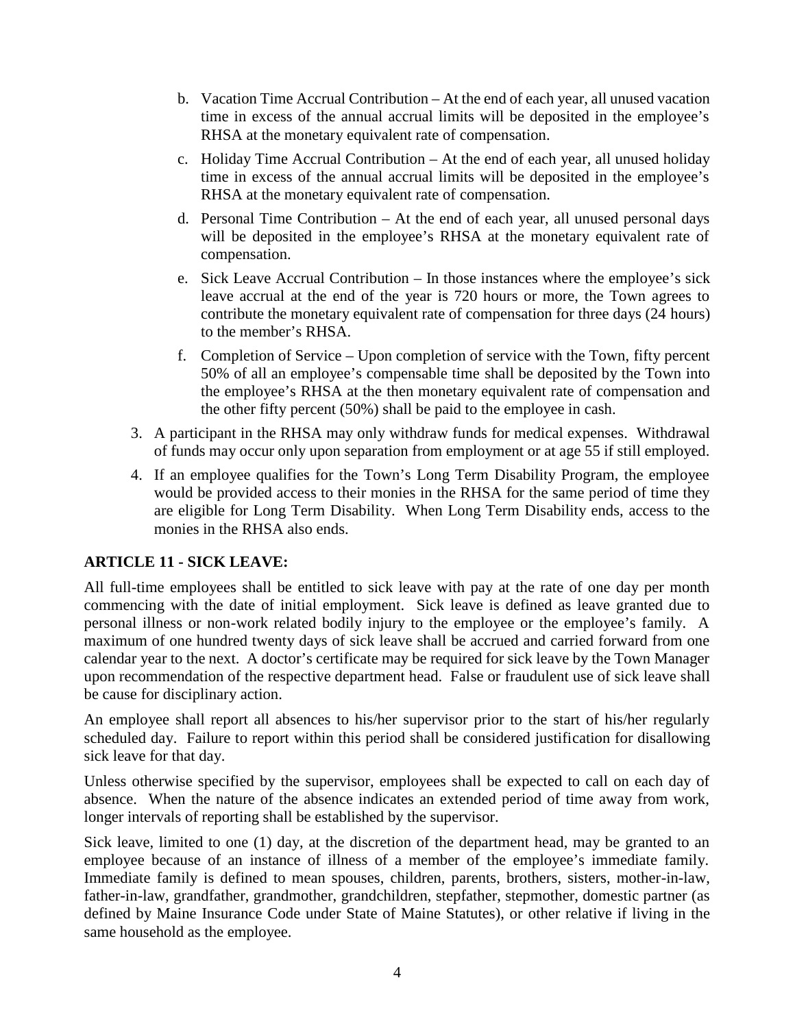- b. Vacation Time Accrual Contribution At the end of each year, all unused vacation time in excess of the annual accrual limits will be deposited in the employee's RHSA at the monetary equivalent rate of compensation.
- c. Holiday Time Accrual Contribution At the end of each year, all unused holiday time in excess of the annual accrual limits will be deposited in the employee's RHSA at the monetary equivalent rate of compensation.
- d. Personal Time Contribution At the end of each year, all unused personal days will be deposited in the employee's RHSA at the monetary equivalent rate of compensation.
- e. Sick Leave Accrual Contribution In those instances where the employee's sick leave accrual at the end of the year is 720 hours or more, the Town agrees to contribute the monetary equivalent rate of compensation for three days (24 hours) to the member's RHSA.
- f. Completion of Service Upon completion of service with the Town, fifty percent 50% of all an employee's compensable time shall be deposited by the Town into the employee's RHSA at the then monetary equivalent rate of compensation and the other fifty percent (50%) shall be paid to the employee in cash.
- 3. A participant in the RHSA may only withdraw funds for medical expenses. Withdrawal of funds may occur only upon separation from employment or at age 55 if still employed.
- 4. If an employee qualifies for the Town's Long Term Disability Program, the employee would be provided access to their monies in the RHSA for the same period of time they are eligible for Long Term Disability. When Long Term Disability ends, access to the monies in the RHSA also ends.

#### **ARTICLE 11 - SICK LEAVE:**

All full-time employees shall be entitled to sick leave with pay at the rate of one day per month commencing with the date of initial employment. Sick leave is defined as leave granted due to personal illness or non-work related bodily injury to the employee or the employee's family. A maximum of one hundred twenty days of sick leave shall be accrued and carried forward from one calendar year to the next. A doctor's certificate may be required for sick leave by the Town Manager upon recommendation of the respective department head. False or fraudulent use of sick leave shall be cause for disciplinary action.

An employee shall report all absences to his/her supervisor prior to the start of his/her regularly scheduled day. Failure to report within this period shall be considered justification for disallowing sick leave for that day.

Unless otherwise specified by the supervisor, employees shall be expected to call on each day of absence. When the nature of the absence indicates an extended period of time away from work, longer intervals of reporting shall be established by the supervisor.

Sick leave, limited to one (1) day, at the discretion of the department head, may be granted to an employee because of an instance of illness of a member of the employee's immediate family. Immediate family is defined to mean spouses, children, parents, brothers, sisters, mother-in-law, father-in-law, grandfather, grandmother, grandchildren, stepfather, stepmother, domestic partner (as defined by Maine Insurance Code under State of Maine Statutes), or other relative if living in the same household as the employee.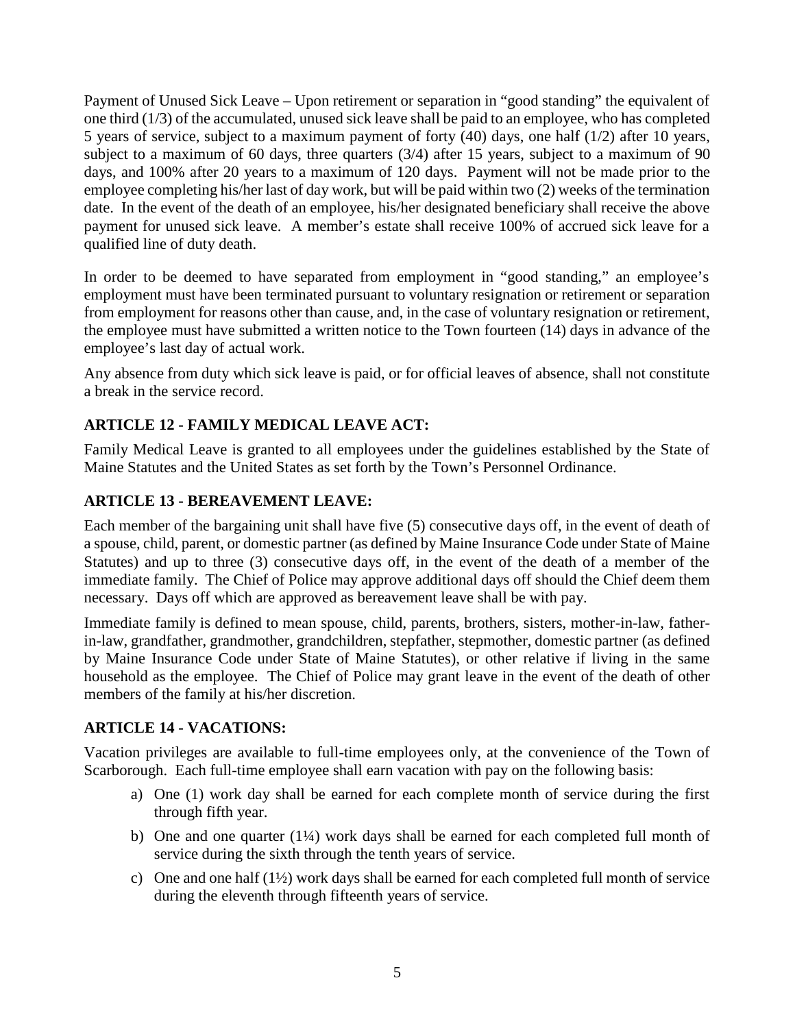Payment of Unused Sick Leave – Upon retirement or separation in "good standing" the equivalent of one third (1/3) of the accumulated, unused sick leave shall be paid to an employee, who has completed 5 years of service, subject to a maximum payment of forty (40) days, one half (1/2) after 10 years, subject to a maximum of 60 days, three quarters (3/4) after 15 years, subject to a maximum of 90 days, and 100% after 20 years to a maximum of 120 days. Payment will not be made prior to the employee completing his/her last of day work, but will be paid within two (2) weeks of the termination date. In the event of the death of an employee, his/her designated beneficiary shall receive the above payment for unused sick leave. A member's estate shall receive 100% of accrued sick leave for a qualified line of duty death.

In order to be deemed to have separated from employment in "good standing," an employee's employment must have been terminated pursuant to voluntary resignation or retirement or separation from employment for reasons other than cause, and, in the case of voluntary resignation or retirement, the employee must have submitted a written notice to the Town fourteen (14) days in advance of the employee's last day of actual work.

Any absence from duty which sick leave is paid, or for official leaves of absence, shall not constitute a break in the service record.

## **ARTICLE 12 - FAMILY MEDICAL LEAVE ACT:**

Family Medical Leave is granted to all employees under the guidelines established by the State of Maine Statutes and the United States as set forth by the Town's Personnel Ordinance.

### **ARTICLE 13 - BEREAVEMENT LEAVE:**

Each member of the bargaining unit shall have five (5) consecutive days off, in the event of death of a spouse, child, parent, or domestic partner (as defined by Maine Insurance Code under State of Maine Statutes) and up to three (3) consecutive days off, in the event of the death of a member of the immediate family. The Chief of Police may approve additional days off should the Chief deem them necessary. Days off which are approved as bereavement leave shall be with pay.

Immediate family is defined to mean spouse, child, parents, brothers, sisters, mother-in-law, fatherin-law, grandfather, grandmother, grandchildren, stepfather, stepmother, domestic partner (as defined by Maine Insurance Code under State of Maine Statutes), or other relative if living in the same household as the employee. The Chief of Police may grant leave in the event of the death of other members of the family at his/her discretion.

#### **ARTICLE 14 - VACATIONS:**

Vacation privileges are available to full-time employees only, at the convenience of the Town of Scarborough. Each full-time employee shall earn vacation with pay on the following basis:

- a) One (1) work day shall be earned for each complete month of service during the first through fifth year.
- b) One and one quarter  $(1/4)$  work days shall be earned for each completed full month of service during the sixth through the tenth years of service.
- c) One and one half (1½) work days shall be earned for each completed full month of service during the eleventh through fifteenth years of service.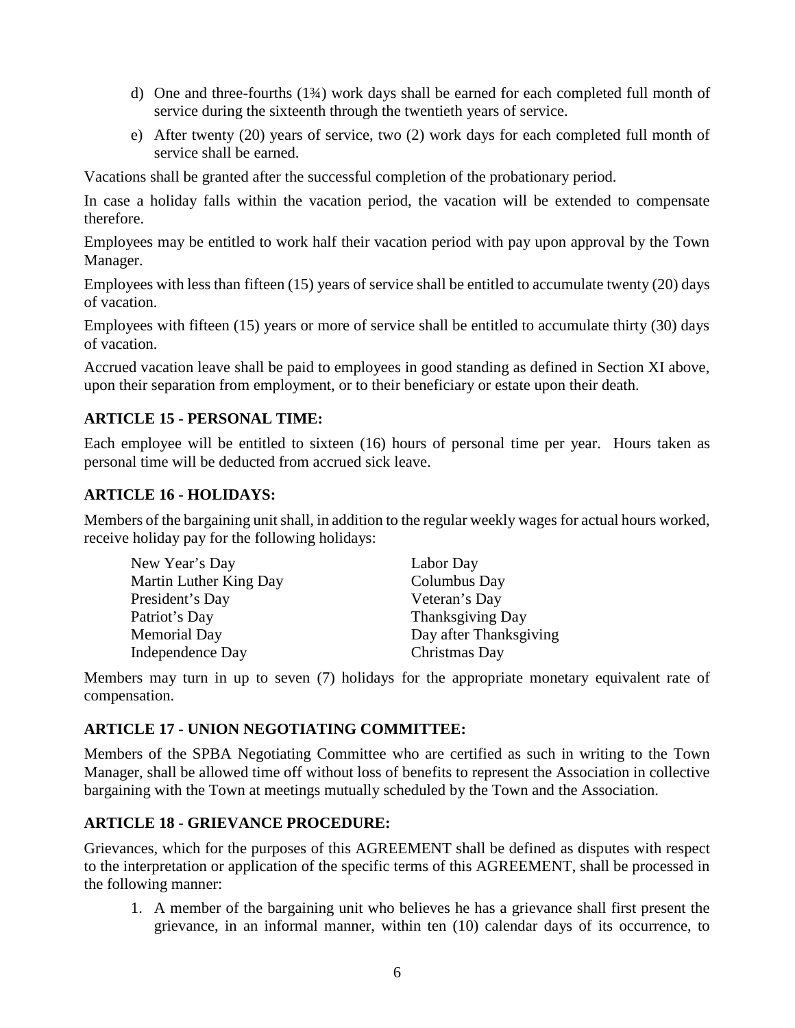- d) One and three-fourths (1¾) work days shall be earned for each completed full month of service during the sixteenth through the twentieth years of service.
- e) After twenty (20) years of service, two (2) work days for each completed full month of service shall be earned.

Vacations shall be granted after the successful completion of the probationary period.

In case a holiday falls within the vacation period, the vacation will be extended to compensate therefore.

Employees may be entitled to work half their vacation period with pay upon approval by the Town Manager.

Employees with less than fifteen (15) years of service shall be entitled to accumulate twenty (20) days of vacation.

Employees with fifteen (15) years or more of service shall be entitled to accumulate thirty (30) days of vacation.

Accrued vacation leave shall be paid to employees in good standing as defined in Section XI above, upon their separation from employment, or to their beneficiary or estate upon their death.

### **ARTICLE 15 - PERSONAL TIME:**

Each employee will be entitled to sixteen (16) hours of personal time per year. Hours taken as personal time will be deducted from accrued sick leave.

#### **ARTICLE 16 - HOLIDAYS:**

Members of the bargaining unit shall, in addition to the regular weekly wages for actual hours worked, receive holiday pay for the following holidays:

| New Year's Day         | Labor Day              |
|------------------------|------------------------|
| Martin Luther King Day | Columbus Day           |
| President's Day        | Veteran's Day          |
| Patriot's Day          | Thanksgiving Day       |
| <b>Memorial Day</b>    | Day after Thanksgiving |
| Independence Day       | Christmas Day          |

Members may turn in up to seven (7) holidays for the appropriate monetary equivalent rate of compensation.

#### **ARTICLE 17 - UNION NEGOTIATING COMMITTEE:**

Members of the SPBA Negotiating Committee who are certified as such in writing to the Town Manager, shall be allowed time off without loss of benefits to represent the Association in collective bargaining with the Town at meetings mutually scheduled by the Town and the Association.

#### **ARTICLE 18 - GRIEVANCE PROCEDURE:**

Grievances, which for the purposes of this AGREEMENT shall be defined as disputes with respect to the interpretation or application of the specific terms of this AGREEMENT, shall be processed in the following manner:

1. A member of the bargaining unit who believes he has a grievance shall first present the grievance, in an informal manner, within ten (10) calendar days of its occurrence, to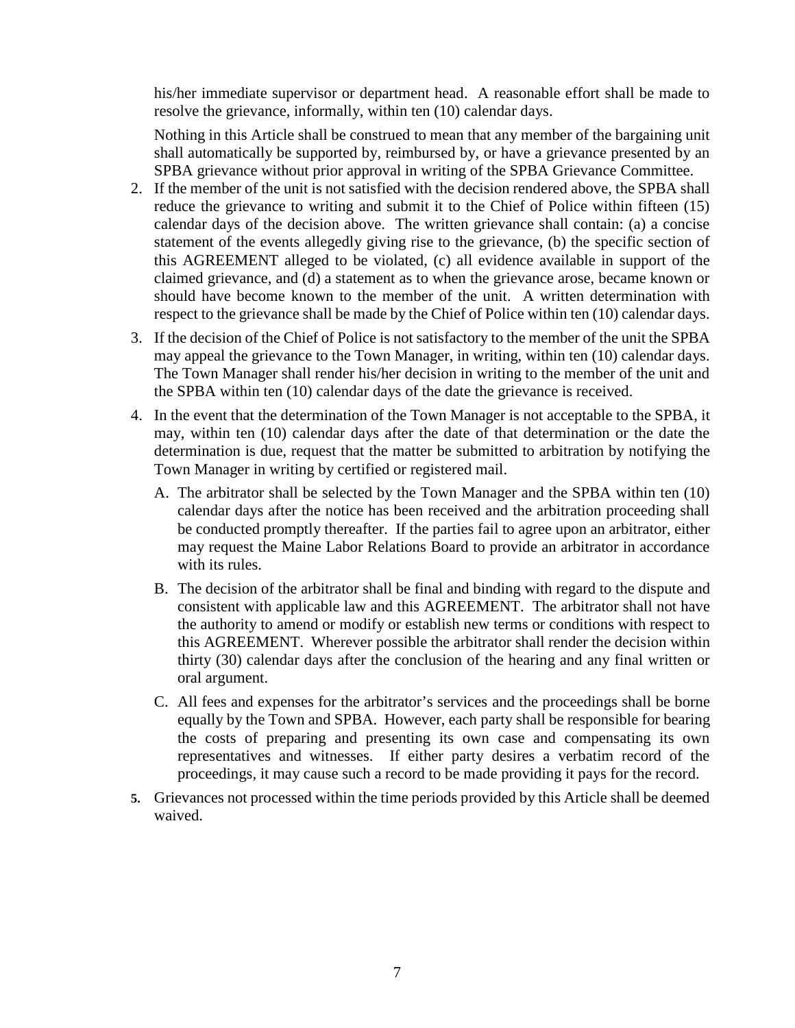his/her immediate supervisor or department head. A reasonable effort shall be made to resolve the grievance, informally, within ten (10) calendar days.

Nothing in this Article shall be construed to mean that any member of the bargaining unit shall automatically be supported by, reimbursed by, or have a grievance presented by an SPBA grievance without prior approval in writing of the SPBA Grievance Committee.

- 2. If the member of the unit is not satisfied with the decision rendered above, the SPBA shall reduce the grievance to writing and submit it to the Chief of Police within fifteen (15) calendar days of the decision above. The written grievance shall contain: (a) a concise statement of the events allegedly giving rise to the grievance, (b) the specific section of this AGREEMENT alleged to be violated, (c) all evidence available in support of the claimed grievance, and (d) a statement as to when the grievance arose, became known or should have become known to the member of the unit. A written determination with respect to the grievance shall be made by the Chief of Police within ten (10) calendar days.
- 3. If the decision of the Chief of Police is not satisfactory to the member of the unit the SPBA may appeal the grievance to the Town Manager, in writing, within ten (10) calendar days. The Town Manager shall render his/her decision in writing to the member of the unit and the SPBA within ten (10) calendar days of the date the grievance is received.
- 4. In the event that the determination of the Town Manager is not acceptable to the SPBA, it may, within ten (10) calendar days after the date of that determination or the date the determination is due, request that the matter be submitted to arbitration by notifying the Town Manager in writing by certified or registered mail.
	- A. The arbitrator shall be selected by the Town Manager and the SPBA within ten (10) calendar days after the notice has been received and the arbitration proceeding shall be conducted promptly thereafter. If the parties fail to agree upon an arbitrator, either may request the Maine Labor Relations Board to provide an arbitrator in accordance with its rules.
	- B. The decision of the arbitrator shall be final and binding with regard to the dispute and consistent with applicable law and this AGREEMENT. The arbitrator shall not have the authority to amend or modify or establish new terms or conditions with respect to this AGREEMENT. Wherever possible the arbitrator shall render the decision within thirty (30) calendar days after the conclusion of the hearing and any final written or oral argument.
	- C. All fees and expenses for the arbitrator's services and the proceedings shall be borne equally by the Town and SPBA. However, each party shall be responsible for bearing the costs of preparing and presenting its own case and compensating its own representatives and witnesses. If either party desires a verbatim record of the proceedings, it may cause such a record to be made providing it pays for the record.
- **5.** Grievances not processed within the time periods provided by this Article shall be deemed waived.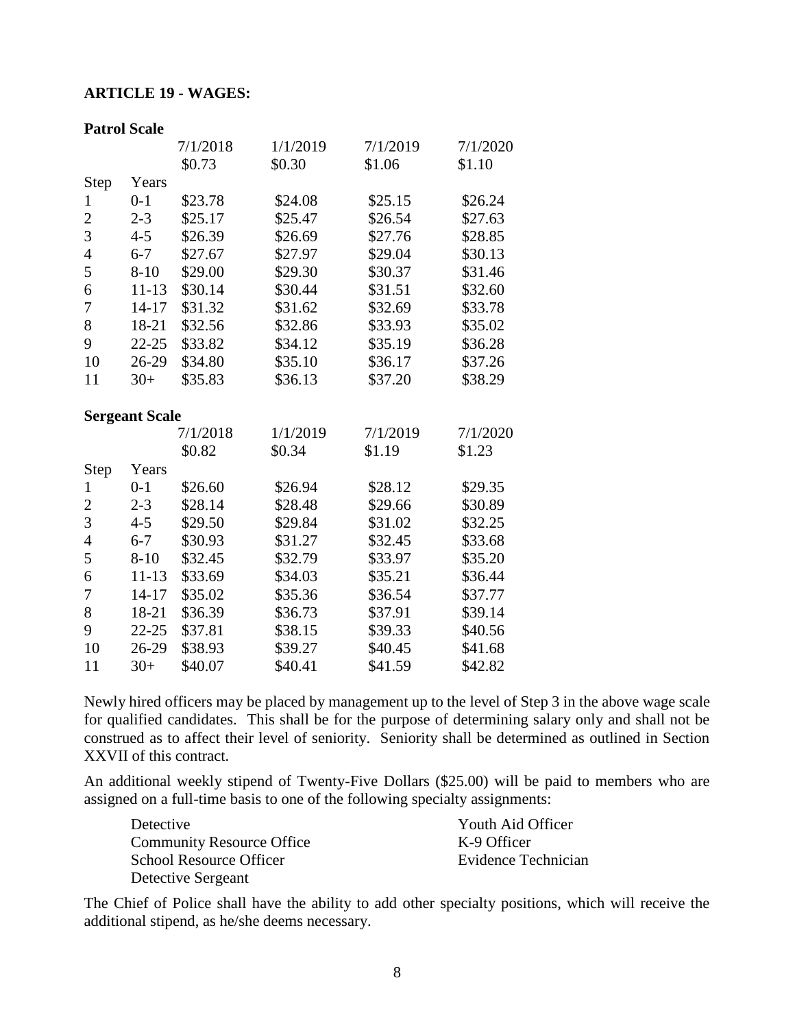#### **ARTICLE 19 - WAGES:**

| <b>Patrol Scale</b>   |           |          |          |          |          |
|-----------------------|-----------|----------|----------|----------|----------|
|                       |           | 7/1/2018 | 1/1/2019 | 7/1/2019 | 7/1/2020 |
|                       |           | \$0.73   | \$0.30   | \$1.06   | \$1.10   |
| Step                  | Years     |          |          |          |          |
| $\mathbf{1}$          | $0 - 1$   | \$23.78  | \$24.08  | \$25.15  | \$26.24  |
| $\overline{c}$        | $2 - 3$   | \$25.17  | \$25.47  | \$26.54  | \$27.63  |
| $\overline{3}$        | $4 - 5$   | \$26.39  | \$26.69  | \$27.76  | \$28.85  |
| $\overline{4}$        | $6 - 7$   | \$27.67  | \$27.97  | \$29.04  | \$30.13  |
| 5                     | $8 - 10$  | \$29.00  | \$29.30  | \$30.37  | \$31.46  |
| 6                     | $11 - 13$ | \$30.14  | \$30.44  | \$31.51  | \$32.60  |
| $\overline{7}$        | $14 - 17$ | \$31.32  | \$31.62  | \$32.69  | \$33.78  |
| 8                     | 18-21     | \$32.56  | \$32.86  | \$33.93  | \$35.02  |
| 9                     | $22 - 25$ | \$33.82  | \$34.12  | \$35.19  | \$36.28  |
| 10                    | 26-29     | \$34.80  | \$35.10  | \$36.17  | \$37.26  |
| 11                    | $30+$     | \$35.83  | \$36.13  | \$37.20  | \$38.29  |
| <b>Sergeant Scale</b> |           |          |          |          |          |
|                       |           | 7/1/2018 | 1/1/2019 | 7/1/2019 | 7/1/2020 |
|                       |           | \$0.82   | \$0.34   | \$1.19   | \$1.23   |
| Step                  | Years     |          |          |          |          |
| 1                     | $0 - 1$   | \$26.60  | \$26.94  | \$28.12  | \$29.35  |
| $\overline{2}$        | $2 - 3$   | \$28.14  | \$28.48  | \$29.66  | \$30.89  |
| 3                     | $4 - 5$   | \$29.50  | \$29.84  | \$31.02  | \$32.25  |
| $\overline{4}$        | $6 - 7$   | \$30.93  | \$31.27  | \$32.45  | \$33.68  |
| 5                     | $8 - 10$  | \$32.45  | \$32.79  | \$33.97  | \$35.20  |
| 6                     | $11 - 13$ | \$33.69  | \$34.03  | \$35.21  | \$36.44  |
| $\overline{7}$        | $14 - 17$ | \$35.02  | \$35.36  | \$36.54  | \$37.77  |
| 8                     | 18-21     | \$36.39  | \$36.73  | \$37.91  | \$39.14  |
| 9                     | $22 - 25$ | \$37.81  | \$38.15  | \$39.33  | \$40.56  |
| 10                    |           | \$38.93  | \$39.27  | \$40.45  | \$41.68  |
|                       | 26-29     |          |          |          |          |

Newly hired officers may be placed by management up to the level of Step 3 in the above wage scale for qualified candidates. This shall be for the purpose of determining salary only and shall not be construed as to affect their level of seniority. Seniority shall be determined as outlined in Section XXVII of this contract.

An additional weekly stipend of Twenty-Five Dollars (\$25.00) will be paid to members who are assigned on a full-time basis to one of the following specialty assignments:

| Detective                        | Youth Aid Officer   |
|----------------------------------|---------------------|
| <b>Community Resource Office</b> | K-9 Officer         |
| <b>School Resource Officer</b>   | Evidence Technician |
| Detective Sergeant               |                     |

The Chief of Police shall have the ability to add other specialty positions, which will receive the additional stipend, as he/she deems necessary.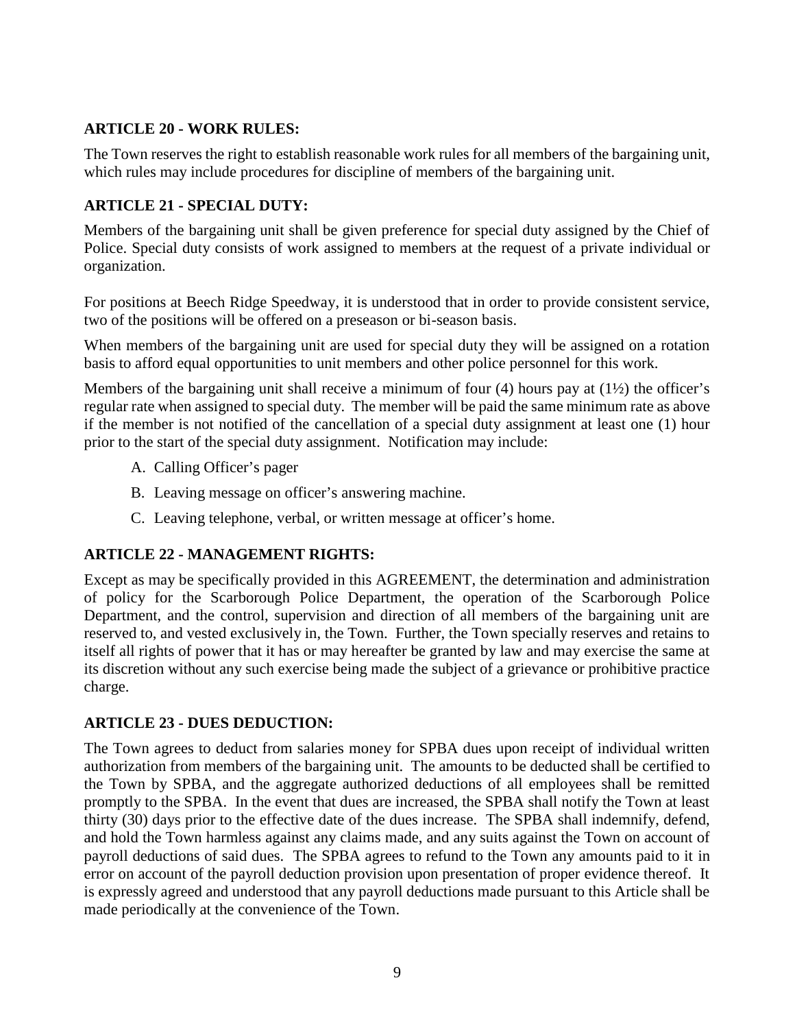#### **ARTICLE 20 - WORK RULES:**

The Town reserves the right to establish reasonable work rules for all members of the bargaining unit, which rules may include procedures for discipline of members of the bargaining unit.

## **ARTICLE 21 - SPECIAL DUTY:**

Members of the bargaining unit shall be given preference for special duty assigned by the Chief of Police. Special duty consists of work assigned to members at the request of a private individual or organization.

For positions at Beech Ridge Speedway, it is understood that in order to provide consistent service, two of the positions will be offered on a preseason or bi-season basis.

When members of the bargaining unit are used for special duty they will be assigned on a rotation basis to afford equal opportunities to unit members and other police personnel for this work.

Members of the bargaining unit shall receive a minimum of four (4) hours pay at (1½) the officer's regular rate when assigned to special duty. The member will be paid the same minimum rate as above if the member is not notified of the cancellation of a special duty assignment at least one (1) hour prior to the start of the special duty assignment. Notification may include:

- A. Calling Officer's pager
- B. Leaving message on officer's answering machine.
- C. Leaving telephone, verbal, or written message at officer's home.

## **ARTICLE 22 - MANAGEMENT RIGHTS:**

Except as may be specifically provided in this AGREEMENT, the determination and administration of policy for the Scarborough Police Department, the operation of the Scarborough Police Department, and the control, supervision and direction of all members of the bargaining unit are reserved to, and vested exclusively in, the Town. Further, the Town specially reserves and retains to itself all rights of power that it has or may hereafter be granted by law and may exercise the same at its discretion without any such exercise being made the subject of a grievance or prohibitive practice charge.

#### **ARTICLE 23 - DUES DEDUCTION:**

The Town agrees to deduct from salaries money for SPBA dues upon receipt of individual written authorization from members of the bargaining unit. The amounts to be deducted shall be certified to the Town by SPBA, and the aggregate authorized deductions of all employees shall be remitted promptly to the SPBA. In the event that dues are increased, the SPBA shall notify the Town at least thirty (30) days prior to the effective date of the dues increase. The SPBA shall indemnify, defend, and hold the Town harmless against any claims made, and any suits against the Town on account of payroll deductions of said dues. The SPBA agrees to refund to the Town any amounts paid to it in error on account of the payroll deduction provision upon presentation of proper evidence thereof. It is expressly agreed and understood that any payroll deductions made pursuant to this Article shall be made periodically at the convenience of the Town.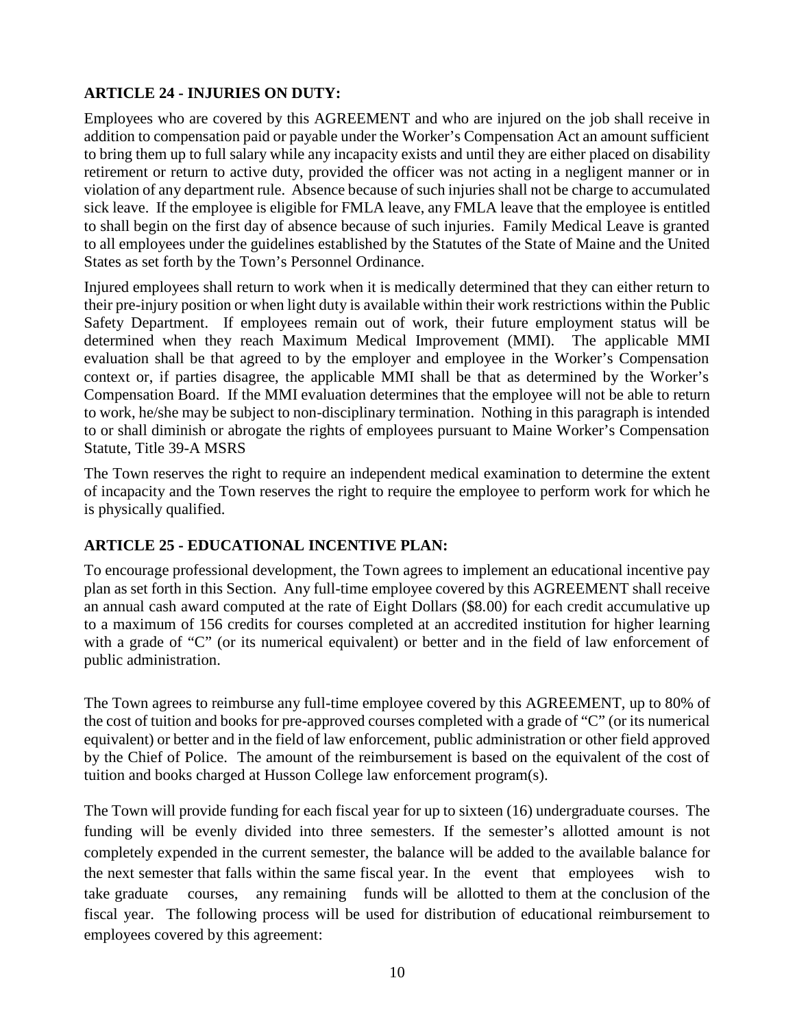## **ARTICLE 24 - INJURIES ON DUTY:**

Employees who are covered by this AGREEMENT and who are injured on the job shall receive in addition to compensation paid or payable under the Worker's Compensation Act an amount sufficient to bring them up to full salary while any incapacity exists and until they are either placed on disability retirement or return to active duty, provided the officer was not acting in a negligent manner or in violation of any department rule. Absence because of such injuries shall not be charge to accumulated sick leave. If the employee is eligible for FMLA leave, any FMLA leave that the employee is entitled to shall begin on the first day of absence because of such injuries. Family Medical Leave is granted to all employees under the guidelines established by the Statutes of the State of Maine and the United States as set forth by the Town's Personnel Ordinance.

Injured employees shall return to work when it is medically determined that they can either return to their pre-injury position or when light duty is available within their work restrictions within the Public Safety Department. If employees remain out of work, their future employment status will be determined when they reach Maximum Medical Improvement (MMI). The applicable MMI evaluation shall be that agreed to by the employer and employee in the Worker's Compensation context or, if parties disagree, the applicable MMI shall be that as determined by the Worker's Compensation Board. If the MMI evaluation determines that the employee will not be able to return to work, he/she may be subject to non-disciplinary termination. Nothing in this paragraph is intended to or shall diminish or abrogate the rights of employees pursuant to Maine Worker's Compensation Statute, Title 39-A MSRS

The Town reserves the right to require an independent medical examination to determine the extent of incapacity and the Town reserves the right to require the employee to perform work for which he is physically qualified.

## **ARTICLE 25 - EDUCATIONAL INCENTIVE PLAN:**

To encourage professional development, the Town agrees to implement an educational incentive pay plan as set forth in this Section. Any full-time employee covered by this AGREEMENT shall receive an annual cash award computed at the rate of Eight Dollars (\$8.00) for each credit accumulative up to a maximum of 156 credits for courses completed at an accredited institution for higher learning with a grade of "C" (or its numerical equivalent) or better and in the field of law enforcement of public administration.

The Town agrees to reimburse any full-time employee covered by this AGREEMENT, up to 80% of the cost of tuition and books for pre-approved courses completed with a grade of "C" (or its numerical equivalent) or better and in the field of law enforcement, public administration or other field approved by the Chief of Police. The amount of the reimbursement is based on the equivalent of the cost of tuition and books charged at Husson College law enforcement program(s).

The Town will provide funding for each fiscal year for up to sixteen (16) undergraduate courses. The funding will be evenly divided into three semesters. If the semester's allotted amount is not completely expended in the current semester, the balance will be added to the available balance for the next semester that falls within the same fiscal year. In the event that employees wish to take graduate courses, any remaining funds will be allotted to them at the conclusion of the fiscal year. The following process will be used for distribution of educational reimbursement to employees covered by this agreement: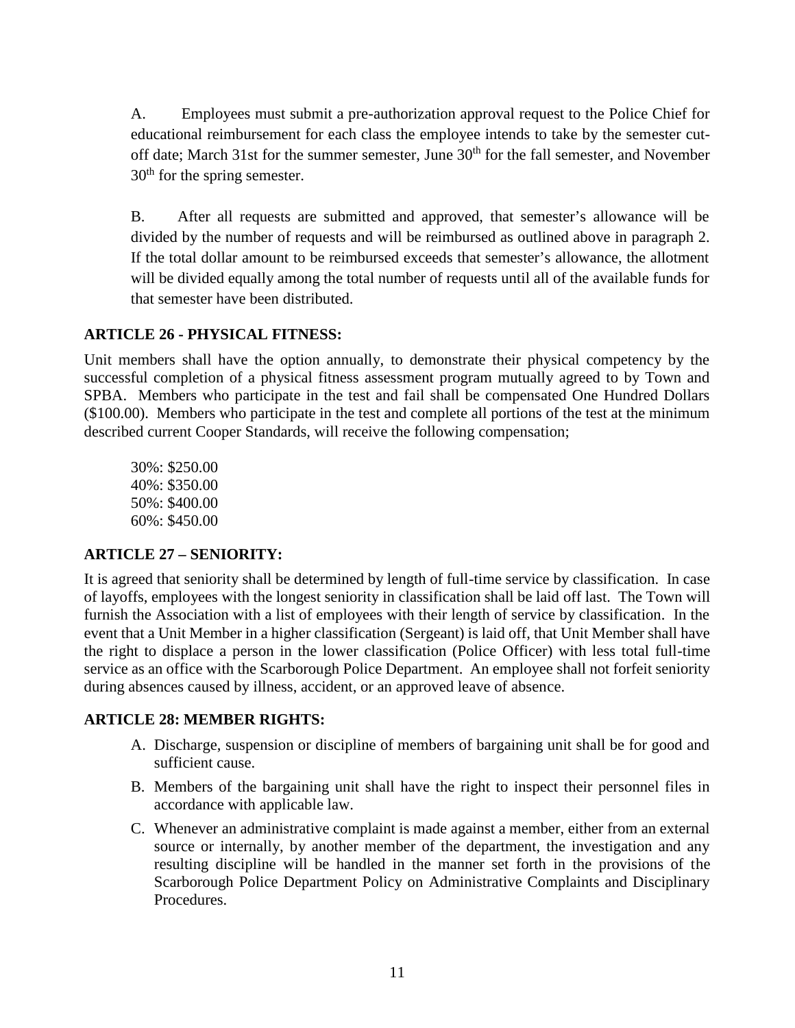A. Employees must submit a pre-authorization approval request to the Police Chief for educational reimbursement for each class the employee intends to take by the semester cut off date; March 31st for the summer semester, June 30<sup>th</sup> for the fall semester, and November 30<sup>th</sup> for the spring semester.

B. After all requests are submitted and approved, that semester's allowance will be divided by the number of requests and will be reimbursed as outlined above in paragraph 2. If the total dollar amount to be reimbursed exceeds that semester's allowance, the allotment will be divided equally among the total number of requests until all of the available funds for that semester have been distributed.

#### **ARTICLE 26 - PHYSICAL FITNESS:**

Unit members shall have the option annually, to demonstrate their physical competency by the successful completion of a physical fitness assessment program mutually agreed to by Town and SPBA. Members who participate in the test and fail shall be compensated One Hundred Dollars (\$100.00). Members who participate in the test and complete all portions of the test at the minimum described current Cooper Standards, will receive the following compensation;

30%: \$250.00 40%: \$350.00 50%: \$400.00 60%: \$450.00

#### **ARTICLE 27 – SENIORITY:**

It is agreed that seniority shall be determined by length of full-time service by classification. In case of layoffs, employees with the longest seniority in classification shall be laid off last. The Town will furnish the Association with a list of employees with their length of service by classification. In the event that a Unit Member in a higher classification (Sergeant) is laid off, that Unit Member shall have the right to displace a person in the lower classification (Police Officer) with less total full-time service as an office with the Scarborough Police Department. An employee shall not forfeit seniority during absences caused by illness, accident, or an approved leave of absence.

#### **ARTICLE 28: MEMBER RIGHTS:**

- A. Discharge, suspension or discipline of members of bargaining unit shall be for good and sufficient cause.
- B. Members of the bargaining unit shall have the right to inspect their personnel files in accordance with applicable law.
- C. Whenever an administrative complaint is made against a member, either from an external source or internally, by another member of the department, the investigation and any resulting discipline will be handled in the manner set forth in the provisions of the Scarborough Police Department Policy on Administrative Complaints and Disciplinary Procedures.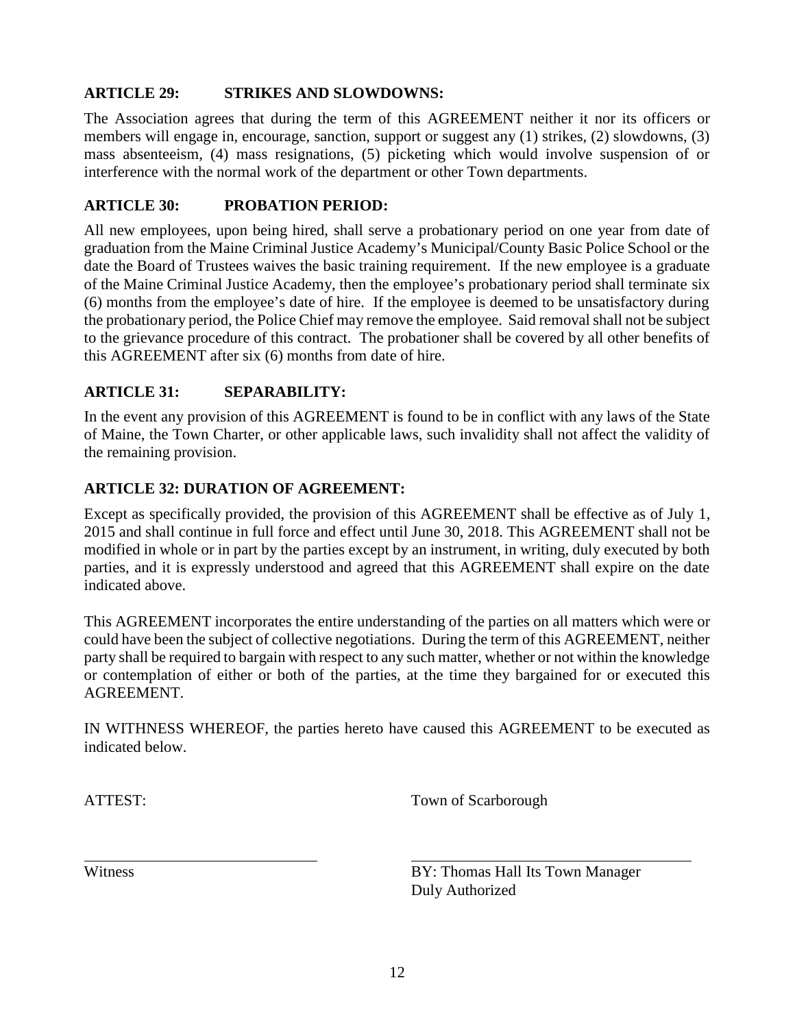## **ARTICLE 29: STRIKES AND SLOWDOWNS:**

The Association agrees that during the term of this AGREEMENT neither it nor its officers or members will engage in, encourage, sanction, support or suggest any (1) strikes, (2) slowdowns, (3) mass absenteeism, (4) mass resignations, (5) picketing which would involve suspension of or interference with the normal work of the department or other Town departments.

# **ARTICLE 30: PROBATION PERIOD:**

All new employees, upon being hired, shall serve a probationary period on one year from date of graduation from the Maine Criminal Justice Academy's Municipal/County Basic Police School or the date the Board of Trustees waives the basic training requirement. If the new employee is a graduate of the Maine Criminal Justice Academy, then the employee's probationary period shall terminate six (6) months from the employee's date of hire. If the employee is deemed to be unsatisfactory during the probationary period, the Police Chief may remove the employee. Said removal shall not be subject to the grievance procedure of this contract. The probationer shall be covered by all other benefits of this AGREEMENT after six (6) months from date of hire.

# **ARTICLE 31: SEPARABILITY:**

In the event any provision of this AGREEMENT is found to be in conflict with any laws of the State of Maine, the Town Charter, or other applicable laws, such invalidity shall not affect the validity of the remaining provision.

# **ARTICLE 32: DURATION OF AGREEMENT:**

Except as specifically provided, the provision of this AGREEMENT shall be effective as of July 1, 2015 and shall continue in full force and effect until June 30, 2018. This AGREEMENT shall not be modified in whole or in part by the parties except by an instrument, in writing, duly executed by both parties, and it is expressly understood and agreed that this AGREEMENT shall expire on the date indicated above.

This AGREEMENT incorporates the entire understanding of the parties on all matters which were or could have been the subject of collective negotiations. During the term of this AGREEMENT, neither party shall be required to bargain with respect to any such matter, whether or not within the knowledge or contemplation of either or both of the parties, at the time they bargained for or executed this AGREEMENT.

IN WITHNESS WHEREOF, the parties hereto have caused this AGREEMENT to be executed as indicated below.

ATTEST: Town of Scarborough

Witness BY: Thomas Hall Its Town Manager Duly Authorized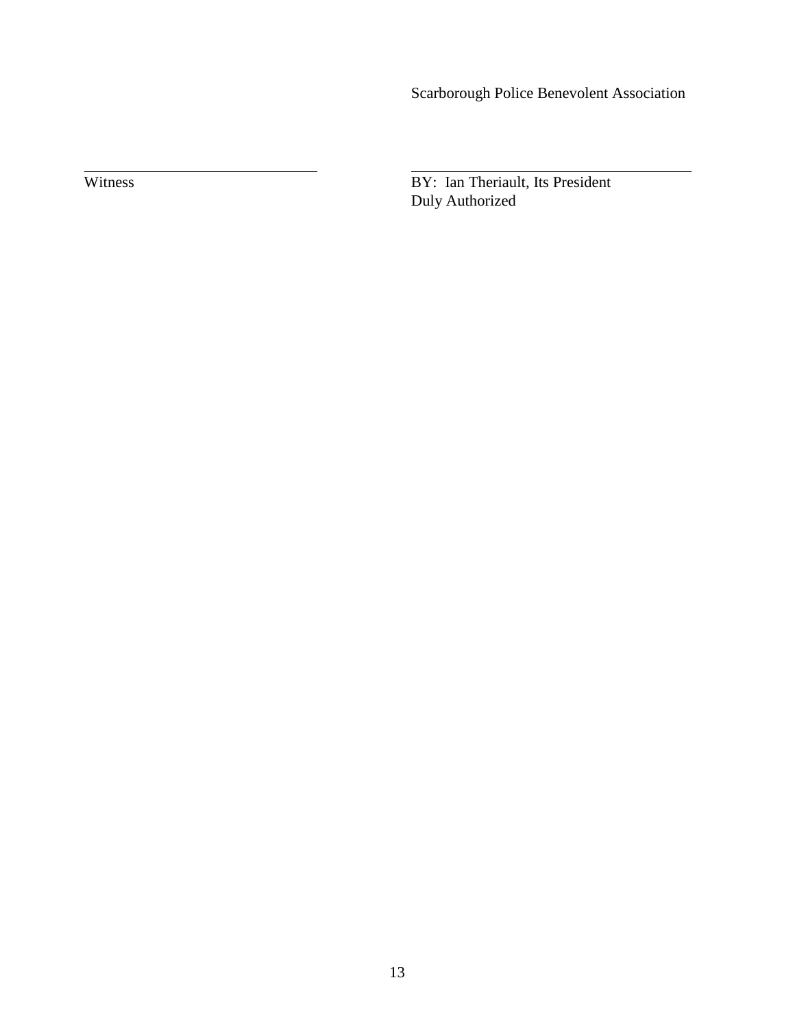Scarborough Police Benevolent Association

Witness BY: Ian Theriault, Its President Duly Authorized